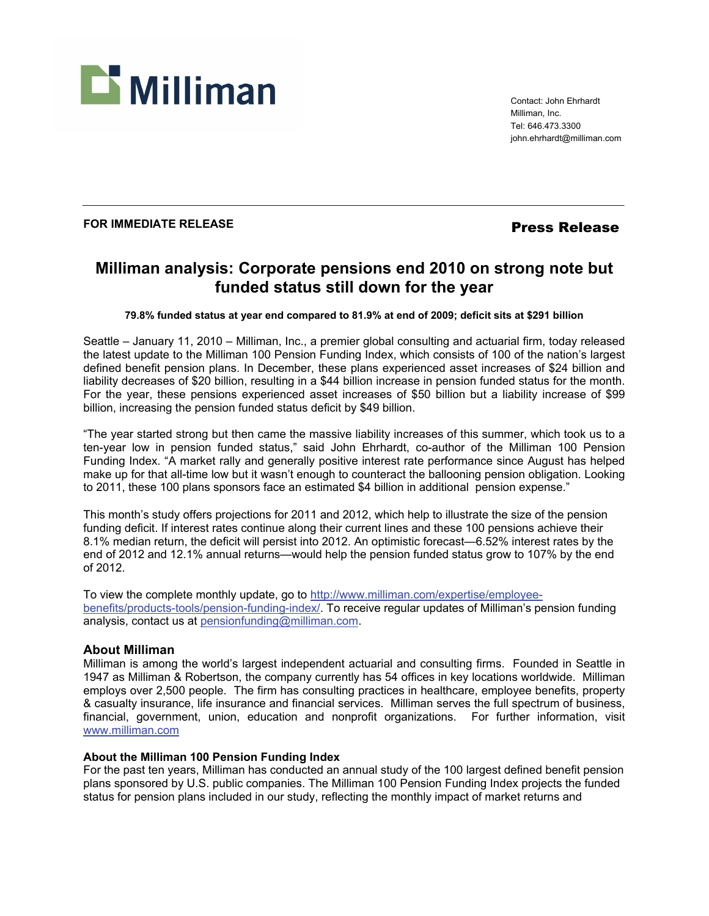

Contact: John Ehrhardt Milliman, Inc. Tel: 646.473.3300 john.ehrhardt@milliman.com

## **FOR IMMEDIATE RELEASE** *Press Release*

# **Milliman analysis: Corporate pensions end 2010 on strong note but funded status still down for the year**

### **79.8% funded status at year end compared to 81.9% at end of 2009; deficit sits at \$291 billion**

Seattle – January 11, 2010 – Milliman, Inc., a premier global consulting and actuarial firm, today released the latest update to the Milliman 100 Pension Funding Index, which consists of 100 of the nation's largest defined benefit pension plans. In December, these plans experienced asset increases of \$24 billion and liability decreases of \$20 billion, resulting in a \$44 billion increase in pension funded status for the month. For the year, these pensions experienced asset increases of \$50 billion but a liability increase of \$99 billion, increasing the pension funded status deficit by \$49 billion.

"The year started strong but then came the massive liability increases of this summer, which took us to a ten-year low in pension funded status," said John Ehrhardt, co-author of the Milliman 100 Pension Funding Index. "A market rally and generally positive interest rate performance since August has helped make up for that all-time low but it wasn't enough to counteract the ballooning pension obligation. Looking to 2011, these 100 plans sponsors face an estimated \$4 billion in additional pension expense."

This month's study offers projections for 2011 and 2012, which help to illustrate the size of the pension funding deficit. If interest rates continue along their current lines and these 100 pensions achieve their 8.1% median return, the deficit will persist into 2012. An optimistic forecast—6.52% interest rates by the end of 2012 and 12.1% annual returns—would help the pension funded status grow to 107% by the end of 2012.

To view the complete monthly update, go to http://www.milliman.com/expertise/employeebenefits/products-tools/pension-funding-index/. To receive regular updates of Milliman's pension funding analysis, contact us at pensionfunding@milliman.com.

### **About Milliman**

Milliman is among the world's largest independent actuarial and consulting firms. Founded in Seattle in 1947 as Milliman & Robertson, the company currently has 54 offices in key locations worldwide. Milliman employs over 2,500 people. The firm has consulting practices in healthcare, employee benefits, property & casualty insurance, life insurance and financial services. Milliman serves the full spectrum of business, financial, government, union, education and nonprofit organizations. For further information, visit www.milliman.com

### **About the Milliman 100 Pension Funding Index**

For the past ten years, Milliman has conducted an annual study of the 100 largest defined benefit pension plans sponsored by U.S. public companies. The Milliman 100 Pension Funding Index projects the funded status for pension plans included in our study, reflecting the monthly impact of market returns and